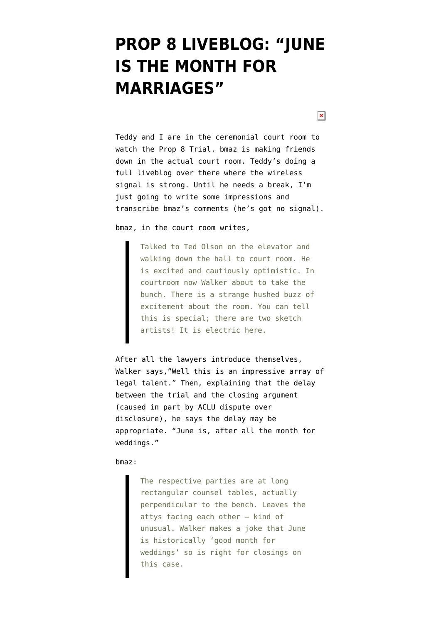# **[PROP 8 LIVEBLOG: "JUNE](https://www.emptywheel.net/2010/06/16/prop-8-liveblog/) [IS THE MONTH FOR](https://www.emptywheel.net/2010/06/16/prop-8-liveblog/) [MARRIAGES"](https://www.emptywheel.net/2010/06/16/prop-8-liveblog/)**

 $\pmb{\times}$ 

Teddy and I are in the ceremonial court room to watch the Prop 8 Trial. bmaz is making friends down in the actual court room. Teddy's doing a full liveblog over there where the wireless signal is strong. Until he needs a break, I'm just going to write some impressions and transcribe bmaz's comments (he's got no signal).

bmaz, in the court room writes,

Talked to Ted Olson on the elevator and walking down the hall to court room. He is excited and cautiously optimistic. In courtroom now Walker about to take the bunch. There is a strange hushed buzz of excitement about the room. You can tell this is special; there are two sketch artists! It is electric here.

After all the lawyers introduce themselves, Walker says,"Well this is an impressive array of legal talent." Then, explaining that the delay between the trial and the closing argument (caused in part by ACLU dispute over disclosure), he says the delay may be appropriate. "June is, after all the month for weddings."

bmaz:

The respective parties are at long rectangular counsel tables, actually perpendicular to the bench. Leaves the attys facing each other – kind of unusual. Walker makes a joke that June is historically 'good month for weddings' so is right for closings on this case.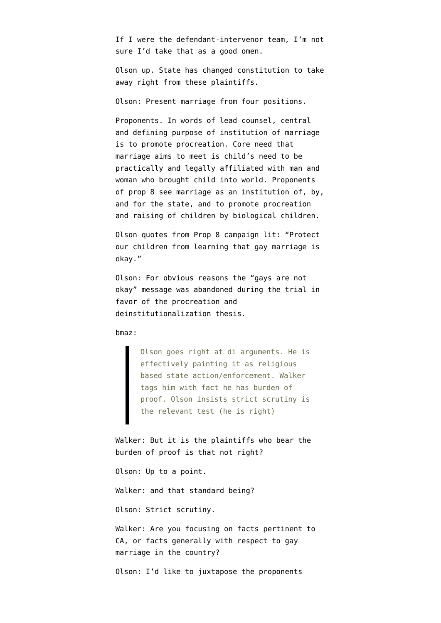If I were the defendant-intervenor team, I'm not sure I'd take that as a good omen.

Olson up. State has changed constitution to take away right from these plaintiffs.

Olson: Present marriage from four positions.

Proponents. In words of lead counsel, central and defining purpose of institution of marriage is to promote procreation. Core need that marriage aims to meet is child's need to be practically and legally affiliated with man and woman who brought child into world. Proponents of prop 8 see marriage as an institution of, by, and for the state, and to promote procreation and raising of children by biological children.

Olson quotes from Prop 8 campaign lit: "Protect our children from learning that gay marriage is okay."

Olson: For obvious reasons the "gays are not okay" message was abandoned during the trial in favor of the procreation and deinstitutionalization thesis.

bmaz:

Olson goes right at di arguments. He is effectively painting it as religious based state action/enforcement. Walker tags him with fact he has burden of proof. Olson insists strict scrutiny is the relevant test (he is right)

Walker: But it is the plaintiffs who bear the burden of proof is that not right?

Olson: Up to a point.

Walker: and that standard being?

Olson: Strict scrutiny.

Walker: Are you focusing on facts pertinent to CA, or facts generally with respect to gay marriage in the country?

Olson: I'd like to juxtapose the proponents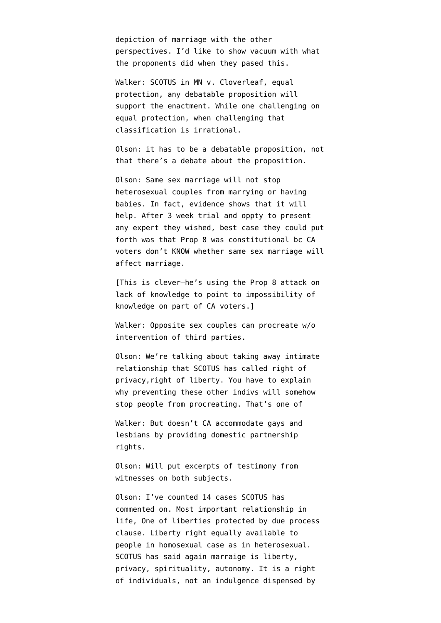depiction of marriage with the other perspectives. I'd like to show vacuum with what the proponents did when they pased this.

Walker: SCOTUS in MN v. Cloverleaf, equal protection, any debatable proposition will support the enactment. While one challenging on equal protection, when challenging that classification is irrational.

Olson: it has to be a debatable proposition, not that there's a debate about the proposition.

Olson: Same sex marriage will not stop heterosexual couples from marrying or having babies. In fact, evidence shows that it will help. After 3 week trial and oppty to present any expert they wished, best case they could put forth was that Prop 8 was constitutional bc CA voters don't KNOW whether same sex marriage will affect marriage.

[This is clever–he's using the Prop 8 attack on lack of knowledge to point to impossibility of knowledge on part of CA voters.]

Walker: Opposite sex couples can procreate w/o intervention of third parties.

Olson: We're talking about taking away intimate relationship that SCOTUS has called right of privacy,right of liberty. You have to explain why preventing these other indivs will somehow stop people from procreating. That's one of

Walker: But doesn't CA accommodate gays and lesbians by providing domestic partnership rights.

Olson: Will put excerpts of testimony from witnesses on both subjects.

Olson: I've counted 14 cases SCOTUS has commented on. Most important relationship in life, One of liberties protected by due process clause. Liberty right equally available to people in homosexual case as in heterosexual. SCOTUS has said again marraige is liberty, privacy, spirituality, autonomy. It is a right of individuals, not an indulgence dispensed by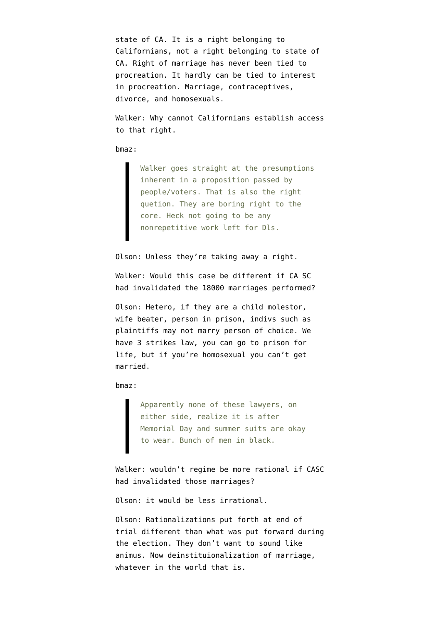state of CA. It is a right belonging to Californians, not a right belonging to state of CA. Right of marriage has never been tied to procreation. It hardly can be tied to interest in procreation. Marriage, contraceptives, divorce, and homosexuals.

Walker: Why cannot Californians establish access to that right.

#### bmaz:

Walker goes straight at the presumptions inherent in a proposition passed by people/voters. That is also the right quetion. They are boring right to the core. Heck not going to be any nonrepetitive work left for Dls.

### Olson: Unless they're taking away a right.

Walker: Would this case be different if CA SC had invalidated the 18000 marriages performed?

Olson: Hetero, if they are a child molestor, wife beater, person in prison, indivs such as plaintiffs may not marry person of choice. We have 3 strikes law, you can go to prison for life, but if you're homosexual you can't get married.

bmaz:

Apparently none of these lawyers, on either side, realize it is after Memorial Day and summer suits are okay to wear. Bunch of men in black.

Walker: wouldn't regime be more rational if CASC had invalidated those marriages?

Olson: it would be less irrational.

Olson: Rationalizations put forth at end of trial different than what was put forward during the election. They don't want to sound like animus. Now deinstituionalization of marriage, whatever in the world that is.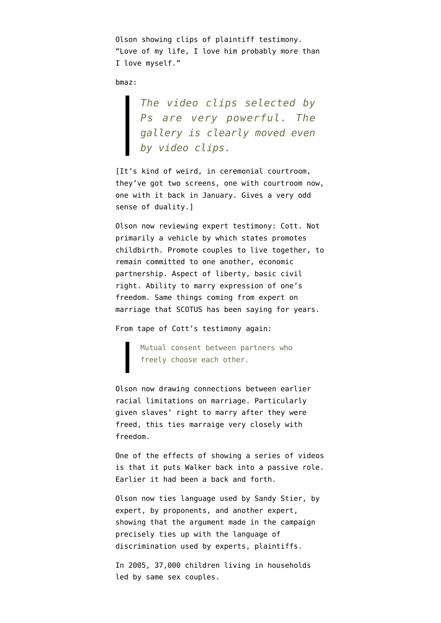Olson showing clips of plaintiff testimony. "Love of my life, I love him probably more than I love myself."

bmaz:

*The video clips selected by Ps are very powerful. The gallery is clearly moved even by video clips.*

[It's kind of weird, in ceremonial courtroom, they've got two screens, one with courtroom now, one with it back in January. Gives a very odd sense of duality.]

Olson now reviewing expert testimony: Cott. Not primarily a vehicle by which states promotes childbirth. Promote couples to live together, to remain committed to one another, economic partnership. Aspect of liberty, basic civil right. Ability to marry expression of one's freedom. Same things coming from expert on marriage that SCOTUS has been saying for years.

From tape of Cott's testimony again:

Mutual consent between partners who freely choose each other.

Olson now drawing connections between earlier racial limitations on marriage. Particularly given slaves' right to marry after they were freed, this ties marraige very closely with freedom.

One of the effects of showing a series of videos is that it puts Walker back into a passive role. Earlier it had been a back and forth.

Olson now ties language used by Sandy Stier, by expert, by proponents, and another expert, showing that the argument made in the campaign precisely ties up with the language of discrimination used by experts, plaintiffs.

In 2005, 37,000 children living in households led by same sex couples.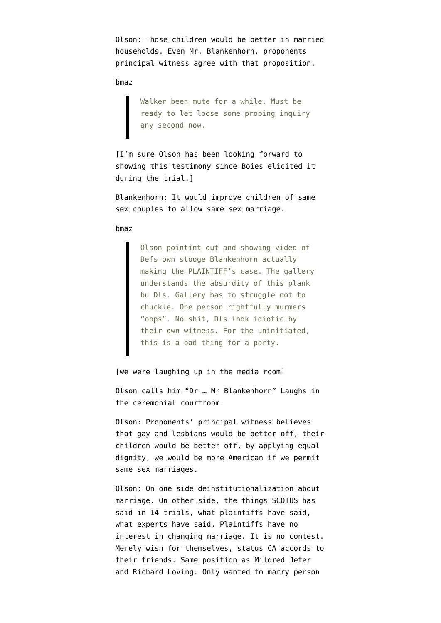Olson: Those children would be better in married households. Even Mr. Blankenhorn, proponents principal witness agree with that proposition.

bmaz

Walker been mute for a while. Must be ready to let loose some probing inquiry any second now.

[I'm sure Olson has been looking forward to showing this testimony since Boies elicited it during the trial.]

Blankenhorn: It would improve children of same sex couples to allow same sex marriage.

bmaz

Olson pointint out and showing video of Defs own stooge Blankenhorn actually making the PLAINTIFF's case. The gallery understands the absurdity of this plank bu Dls. Gallery has to struggle not to chuckle. One person rightfully murmers "oops". No shit, Dls look idiotic by their own witness. For the uninitiated, this is a bad thing for a party.

[we were laughing up in the media room]

Olson calls him "Dr … Mr Blankenhorn" Laughs in the ceremonial courtroom.

Olson: Proponents' principal witness believes that gay and lesbians would be better off, their children would be better off, by applying equal dignity, we would be more American if we permit same sex marriages.

Olson: On one side deinstitutionalization about marriage. On other side, the things SCOTUS has said in 14 trials, what plaintiffs have said, what experts have said. Plaintiffs have no interest in changing marriage. It is no contest. Merely wish for themselves, status CA accords to their friends. Same position as Mildred Jeter and Richard Loving. Only wanted to marry person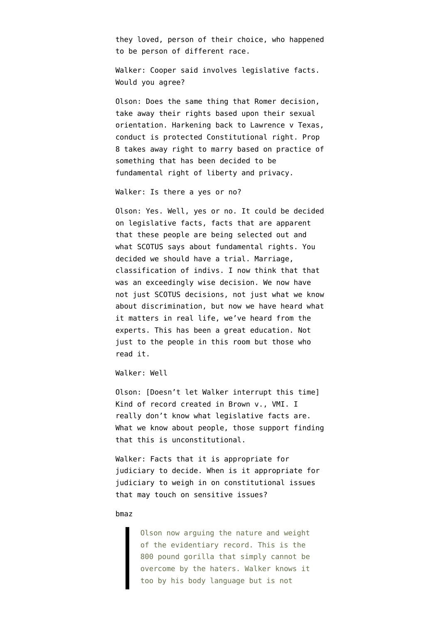they loved, person of their choice, who happened to be person of different race.

Walker: Cooper said involves legislative facts. Would you agree?

Olson: Does the same thing that Romer decision, take away their rights based upon their sexual orientation. Harkening back to Lawrence v Texas, conduct is protected Constitutional right. Prop 8 takes away right to marry based on practice of something that has been decided to be fundamental right of liberty and privacy.

Walker: Is there a yes or no?

Olson: Yes. Well, yes or no. It could be decided on legislative facts, facts that are apparent that these people are being selected out and what SCOTUS says about fundamental rights. You decided we should have a trial. Marriage, classification of indivs. I now think that that was an exceedingly wise decision. We now have not just SCOTUS decisions, not just what we know about discrimination, but now we have heard what it matters in real life, we've heard from the experts. This has been a great education. Not just to the people in this room but those who read it.

Walker: Well

Olson: [Doesn't let Walker interrupt this time] Kind of record created in Brown v., VMI. I really don't know what legislative facts are. What we know about people, those support finding that this is unconstitutional.

Walker: Facts that it is appropriate for judiciary to decide. When is it appropriate for judiciary to weigh in on constitutional issues that may touch on sensitive issues?

## bmaz

Olson now arguing the nature and weight of the evidentiary record. This is the 800 pound gorilla that simply cannot be overcome by the haters. Walker knows it too by his body language but is not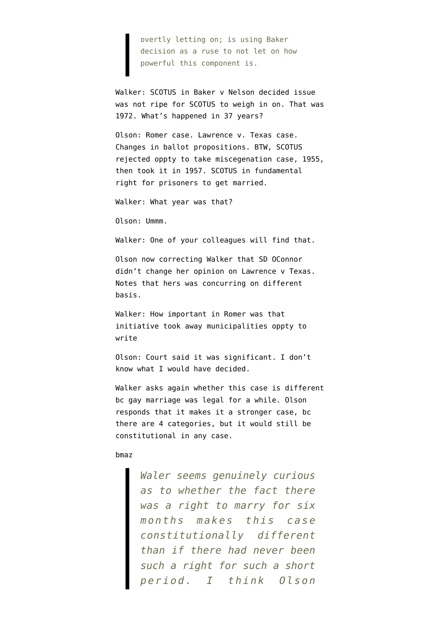overtly letting on; is using Baker decision as a ruse to not let on how powerful this component is.

Walker: SCOTUS in Baker v Nelson decided issue was not ripe for SCOTUS to weigh in on. That was 1972. What's happened in 37 years?

Olson: Romer case. Lawrence v. Texas case. Changes in ballot propositions. BTW, SCOTUS rejected oppty to take miscegenation case, 1955, then took it in 1957. SCOTUS in fundamental right for prisoners to get married.

Walker: What year was that?

Olson: Ummm.

Walker: One of your colleagues will find that.

Olson now correcting Walker that SD OConnor didn't change her opinion on Lawrence v Texas. Notes that hers was concurring on different basis.

Walker: How important in Romer was that initiative took away municipalities oppty to write

Olson: Court said it was significant. I don't know what I would have decided.

Walker asks again whether this case is different bc gay marriage was legal for a while. Olson responds that it makes it a stronger case, bc there are 4 categories, but it would still be constitutional in any case.

#### bmaz

*Waler seems genuinely curious as to whether the fact there was a right to marry for six months makes this case constitutionally different than if there had never been such a right for such a short period. I think Olson*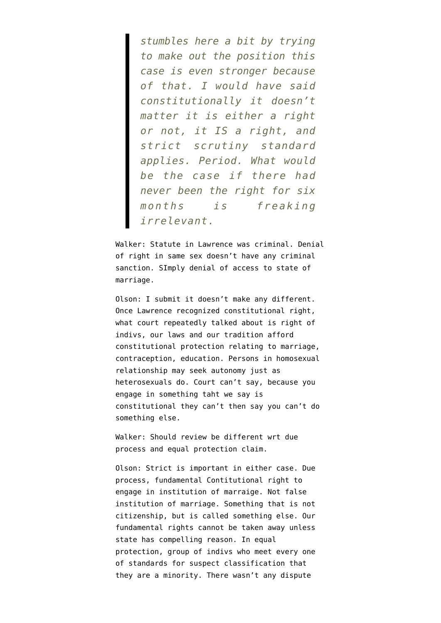*stumbles here a bit by trying to make out the position this case is even stronger because of that. I would have said constitutionally it doesn't matter it is either a right or not, it IS a right, and strict scrutiny standard applies. Period. What would be the case if there had never been the right for six months is freaking irrelevant.*

Walker: Statute in Lawrence was criminal. Denial of right in same sex doesn't have any criminal sanction. SImply denial of access to state of marriage.

Olson: I submit it doesn't make any different. Once Lawrence recognized constitutional right, what court repeatedly talked about is right of indivs, our laws and our tradition afford constitutional protection relating to marriage, contraception, education. Persons in homosexual relationship may seek autonomy just as heterosexuals do. Court can't say, because you engage in something taht we say is constitutional they can't then say you can't do something else.

Walker: Should review be different wrt due process and equal protection claim.

Olson: Strict is important in either case. Due process, fundamental Contitutional right to engage in institution of marraige. Not false institution of marriage. Something that is not citizenship, but is called something else. Our fundamental rights cannot be taken away unless state has compelling reason. In equal protection, group of indivs who meet every one of standards for suspect classification that they are a minority. There wasn't any dispute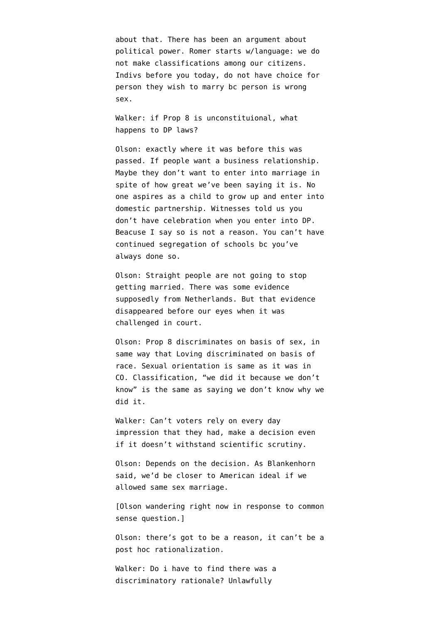about that. There has been an argument about political power. Romer starts w/language: we do not make classifications among our citizens. Indivs before you today, do not have choice for person they wish to marry bc person is wrong sex.

Walker: if Prop 8 is unconstituional, what happens to DP laws?

Olson: exactly where it was before this was passed. If people want a business relationship. Maybe they don't want to enter into marriage in spite of how great we've been saying it is. No one aspires as a child to grow up and enter into domestic partnership. Witnesses told us you don't have celebration when you enter into DP. Beacuse I say so is not a reason. You can't have continued segregation of schools bc you've always done so.

Olson: Straight people are not going to stop getting married. There was some evidence supposedly from Netherlands. But that evidence disappeared before our eyes when it was challenged in court.

Olson: Prop 8 discriminates on basis of sex, in same way that Loving discriminated on basis of race. Sexual orientation is same as it was in CO. Classification, "we did it because we don't know" is the same as saying we don't know why we did it.

Walker: Can't voters rely on every day impression that they had, make a decision even if it doesn't withstand scientific scrutiny.

Olson: Depends on the decision. As Blankenhorn said, we'd be closer to American ideal if we allowed same sex marriage.

[Olson wandering right now in response to common sense question.]

Olson: there's got to be a reason, it can't be a post hoc rationalization.

Walker: Do i have to find there was a discriminatory rationale? Unlawfully